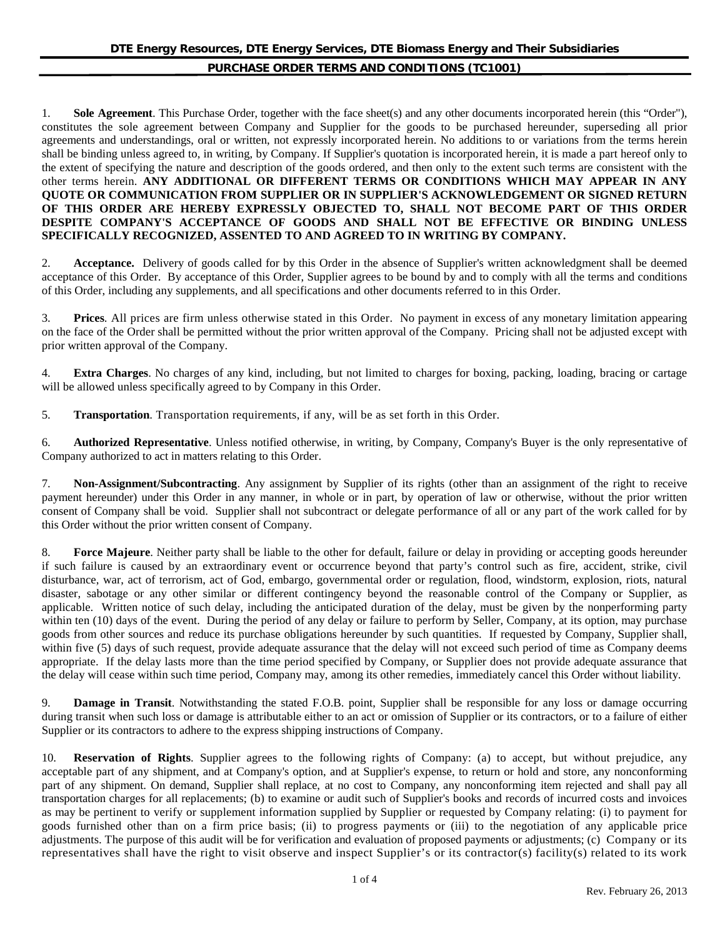1. **Sole Agreement**. This Purchase Order, together with the face sheet(s) and any other documents incorporated herein (this "Order"), constitutes the sole agreement between Company and Supplier for the goods to be purchased hereunder, superseding all prior agreements and understandings, oral or written, not expressly incorporated herein. No additions to or variations from the terms herein shall be binding unless agreed to, in writing, by Company. If Supplier's quotation is incorporated herein, it is made a part hereof only to the extent of specifying the nature and description of the goods ordered, and then only to the extent such terms are consistent with the other terms herein. **ANY ADDITIONAL OR DIFFERENT TERMS OR CONDITIONS WHICH MAY APPEAR IN ANY QUOTE OR COMMUNICATION FROM SUPPLIER OR IN SUPPLIER'S ACKNOWLEDGEMENT OR SIGNED RETURN OF THIS ORDER ARE HEREBY EXPRESSLY OBJECTED TO, SHALL NOT BECOME PART OF THIS ORDER DESPITE COMPANY'S ACCEPTANCE OF GOODS AND SHALL NOT BE EFFECTIVE OR BINDING UNLESS SPECIFICALLY RECOGNIZED, ASSENTED TO AND AGREED TO IN WRITING BY COMPANY.**

2. **Acceptance.** Delivery of goods called for by this Order in the absence of Supplier's written acknowledgment shall be deemed acceptance of this Order. By acceptance of this Order, Supplier agrees to be bound by and to comply with all the terms and conditions of this Order, including any supplements, and all specifications and other documents referred to in this Order.

3. **Prices**. All prices are firm unless otherwise stated in this Order. No payment in excess of any monetary limitation appearing on the face of the Order shall be permitted without the prior written approval of the Company. Pricing shall not be adjusted except with prior written approval of the Company.

4. **Extra Charges**. No charges of any kind, including, but not limited to charges for boxing, packing, loading, bracing or cartage will be allowed unless specifically agreed to by Company in this Order.

5. **Transportation**. Transportation requirements, if any, will be as set forth in this Order.

6. **Authorized Representative**. Unless notified otherwise, in writing, by Company, Company's Buyer is the only representative of Company authorized to act in matters relating to this Order.

7. **Non-Assignment/Subcontracting**. Any assignment by Supplier of its rights (other than an assignment of the right to receive payment hereunder) under this Order in any manner, in whole or in part, by operation of law or otherwise, without the prior written consent of Company shall be void. Supplier shall not subcontract or delegate performance of all or any part of the work called for by this Order without the prior written consent of Company.

8. **Force Majeure**. Neither party shall be liable to the other for default, failure or delay in providing or accepting goods hereunder if such failure is caused by an extraordinary event or occurrence beyond that party's control such as fire, accident, strike, civil disturbance, war, act of terrorism, act of God, embargo, governmental order or regulation, flood, windstorm, explosion, riots, natural disaster, sabotage or any other similar or different contingency beyond the reasonable control of the Company or Supplier, as applicable. Written notice of such delay, including the anticipated duration of the delay, must be given by the nonperforming party within ten (10) days of the event. During the period of any delay or failure to perform by Seller, Company, at its option, may purchase goods from other sources and reduce its purchase obligations hereunder by such quantities. If requested by Company, Supplier shall, within five (5) days of such request, provide adequate assurance that the delay will not exceed such period of time as Company deems appropriate. If the delay lasts more than the time period specified by Company, or Supplier does not provide adequate assurance that the delay will cease within such time period, Company may, among its other remedies, immediately cancel this Order without liability.

9. **Damage in Transit**. Notwithstanding the stated F.O.B. point, Supplier shall be responsible for any loss or damage occurring during transit when such loss or damage is attributable either to an act or omission of Supplier or its contractors, or to a failure of either Supplier or its contractors to adhere to the express shipping instructions of Company.

10. **Reservation of Rights**. Supplier agrees to the following rights of Company: (a) to accept, but without prejudice, any acceptable part of any shipment, and at Company's option, and at Supplier's expense, to return or hold and store, any nonconforming part of any shipment. On demand, Supplier shall replace, at no cost to Company, any nonconforming item rejected and shall pay all transportation charges for all replacements; (b) to examine or audit such of Supplier's books and records of incurred costs and invoices as may be pertinent to verify or supplement information supplied by Supplier or requested by Company relating: (i) to payment for goods furnished other than on a firm price basis; (ii) to progress payments or (iii) to the negotiation of any applicable price adjustments. The purpose of this audit will be for verification and evaluation of proposed payments or adjustments; (c) Company or its representatives shall have the right to visit observe and inspect Supplier's or its contractor(s) facility(s) related to its work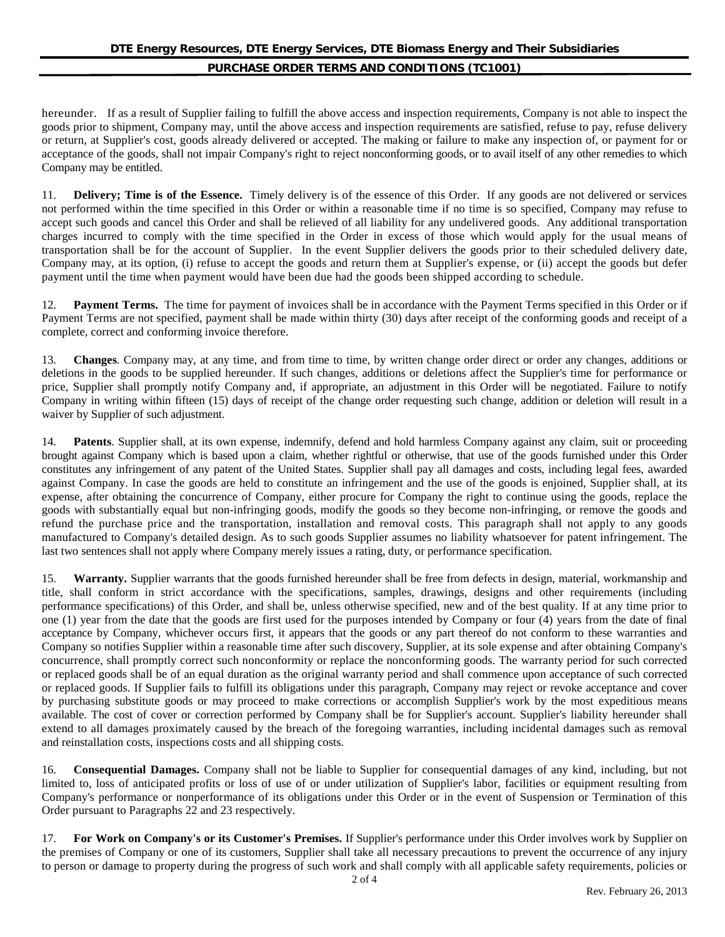hereunder. If as a result of Supplier failing to fulfill the above access and inspection requirements, Company is not able to inspect the goods prior to shipment, Company may, until the above access and inspection requirements are satisfied, refuse to pay, refuse delivery or return, at Supplier's cost, goods already delivered or accepted. The making or failure to make any inspection of, or payment for or acceptance of the goods, shall not impair Company's right to reject nonconforming goods, or to avail itself of any other remedies to which Company may be entitled.

11. **Delivery; Time is of the Essence.** Timely delivery is of the essence of this Order. If any goods are not delivered or services not performed within the time specified in this Order or within a reasonable time if no time is so specified, Company may refuse to accept such goods and cancel this Order and shall be relieved of all liability for any undelivered goods. Any additional transportation charges incurred to comply with the time specified in the Order in excess of those which would apply for the usual means of transportation shall be for the account of Supplier. In the event Supplier delivers the goods prior to their scheduled delivery date, Company may, at its option, (i) refuse to accept the goods and return them at Supplier's expense, or (ii) accept the goods but defer payment until the time when payment would have been due had the goods been shipped according to schedule.

12. **Payment Terms.** The time for payment of invoices shall be in accordance with the Payment Terms specified in this Order or if Payment Terms are not specified, payment shall be made within thirty (30) days after receipt of the conforming goods and receipt of a complete, correct and conforming invoice therefore.

13. **Changes**. Company may, at any time, and from time to time, by written change order direct or order any changes, additions or deletions in the goods to be supplied hereunder. If such changes, additions or deletions affect the Supplier's time for performance or price, Supplier shall promptly notify Company and, if appropriate, an adjustment in this Order will be negotiated. Failure to notify Company in writing within fifteen (15) days of receipt of the change order requesting such change, addition or deletion will result in a waiver by Supplier of such adjustment.

14. **Patents**. Supplier shall, at its own expense, indemnify, defend and hold harmless Company against any claim, suit or proceeding brought against Company which is based upon a claim, whether rightful or otherwise, that use of the goods furnished under this Order constitutes any infringement of any patent of the United States. Supplier shall pay all damages and costs, including legal fees, awarded against Company. In case the goods are held to constitute an infringement and the use of the goods is enjoined, Supplier shall, at its expense, after obtaining the concurrence of Company, either procure for Company the right to continue using the goods, replace the goods with substantially equal but non-infringing goods, modify the goods so they become non-infringing, or remove the goods and refund the purchase price and the transportation, installation and removal costs. This paragraph shall not apply to any goods manufactured to Company's detailed design. As to such goods Supplier assumes no liability whatsoever for patent infringement. The last two sentences shall not apply where Company merely issues a rating, duty, or performance specification.

15. **Warranty.** Supplier warrants that the goods furnished hereunder shall be free from defects in design, material, workmanship and title, shall conform in strict accordance with the specifications, samples, drawings, designs and other requirements (including performance specifications) of this Order, and shall be, unless otherwise specified, new and of the best quality. If at any time prior to one (1) year from the date that the goods are first used for the purposes intended by Company or four (4) years from the date of final acceptance by Company, whichever occurs first, it appears that the goods or any part thereof do not conform to these warranties and Company so notifies Supplier within a reasonable time after such discovery, Supplier, at its sole expense and after obtaining Company's concurrence, shall promptly correct such nonconformity or replace the nonconforming goods. The warranty period for such corrected or replaced goods shall be of an equal duration as the original warranty period and shall commence upon acceptance of such corrected or replaced goods. If Supplier fails to fulfill its obligations under this paragraph, Company may reject or revoke acceptance and cover by purchasing substitute goods or may proceed to make corrections or accomplish Supplier's work by the most expeditious means available. The cost of cover or correction performed by Company shall be for Supplier's account. Supplier's liability hereunder shall extend to all damages proximately caused by the breach of the foregoing warranties, including incidental damages such as removal and reinstallation costs, inspections costs and all shipping costs.

16. **Consequential Damages.** Company shall not be liable to Supplier for consequential damages of any kind, including, but not limited to, loss of anticipated profits or loss of use of or under utilization of Supplier's labor, facilities or equipment resulting from Company's performance or nonperformance of its obligations under this Order or in the event of Suspension or Termination of this Order pursuant to Paragraphs 22 and 23 respectively.

17. **For Work on Company's or its Customer's Premises.** If Supplier's performance under this Order involves work by Supplier on the premises of Company or one of its customers, Supplier shall take all necessary precautions to prevent the occurrence of any injury to person or damage to property during the progress of such work and shall comply with all applicable safety requirements, policies or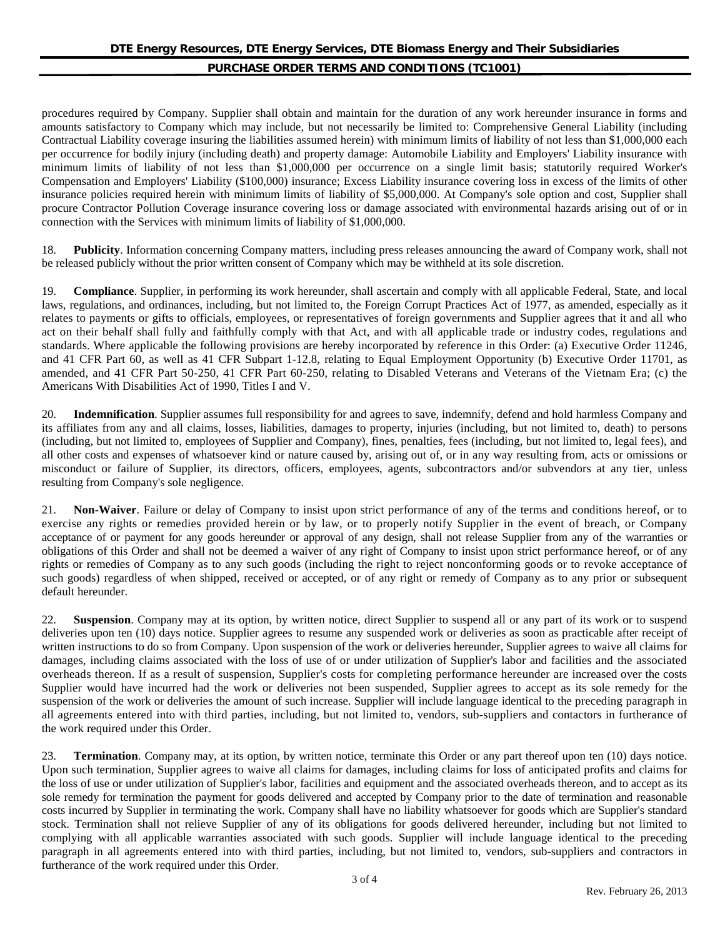procedures required by Company. Supplier shall obtain and maintain for the duration of any work hereunder insurance in forms and amounts satisfactory to Company which may include, but not necessarily be limited to: Comprehensive General Liability (including Contractual Liability coverage insuring the liabilities assumed herein) with minimum limits of liability of not less than \$1,000,000 each per occurrence for bodily injury (including death) and property damage: Automobile Liability and Employers' Liability insurance with minimum limits of liability of not less than \$1,000,000 per occurrence on a single limit basis; statutorily required Worker's Compensation and Employers' Liability (\$100,000) insurance; Excess Liability insurance covering loss in excess of the limits of other insurance policies required herein with minimum limits of liability of \$5,000,000. At Company's sole option and cost, Supplier shall procure Contractor Pollution Coverage insurance covering loss or damage associated with environmental hazards arising out of or in connection with the Services with minimum limits of liability of \$1,000,000.

18. **Publicity**. Information concerning Company matters, including press releases announcing the award of Company work, shall not be released publicly without the prior written consent of Company which may be withheld at its sole discretion.

19. **Compliance**. Supplier, in performing its work hereunder, shall ascertain and comply with all applicable Federal, State, and local laws, regulations, and ordinances, including, but not limited to, the Foreign Corrupt Practices Act of 1977, as amended, especially as it relates to payments or gifts to officials, employees, or representatives of foreign governments and Supplier agrees that it and all who act on their behalf shall fully and faithfully comply with that Act, and with all applicable trade or industry codes, regulations and standards. Where applicable the following provisions are hereby incorporated by reference in this Order: (a) Executive Order 11246, and 41 CFR Part 60, as well as 41 CFR Subpart 1-12.8, relating to Equal Employment Opportunity (b) Executive Order 11701, as amended, and 41 CFR Part 50-250, 41 CFR Part 60-250, relating to Disabled Veterans and Veterans of the Vietnam Era; (c) the Americans With Disabilities Act of 1990, Titles I and V.

20. **Indemnification**. Supplier assumes full responsibility for and agrees to save, indemnify, defend and hold harmless Company and its affiliates from any and all claims, losses, liabilities, damages to property, injuries (including, but not limited to, death) to persons (including, but not limited to, employees of Supplier and Company), fines, penalties, fees (including, but not limited to, legal fees), and all other costs and expenses of whatsoever kind or nature caused by, arising out of, or in any way resulting from, acts or omissions or misconduct or failure of Supplier, its directors, officers, employees, agents, subcontractors and/or subvendors at any tier, unless resulting from Company's sole negligence.

21. **Non-Waiver**. Failure or delay of Company to insist upon strict performance of any of the terms and conditions hereof, or to exercise any rights or remedies provided herein or by law, or to properly notify Supplier in the event of breach, or Company acceptance of or payment for any goods hereunder or approval of any design, shall not release Supplier from any of the warranties or obligations of this Order and shall not be deemed a waiver of any right of Company to insist upon strict performance hereof, or of any rights or remedies of Company as to any such goods (including the right to reject nonconforming goods or to revoke acceptance of such goods) regardless of when shipped, received or accepted, or of any right or remedy of Company as to any prior or subsequent default hereunder.

22. **Suspension**. Company may at its option, by written notice, direct Supplier to suspend all or any part of its work or to suspend deliveries upon ten (10) days notice. Supplier agrees to resume any suspended work or deliveries as soon as practicable after receipt of written instructions to do so from Company. Upon suspension of the work or deliveries hereunder, Supplier agrees to waive all claims for damages, including claims associated with the loss of use of or under utilization of Supplier's labor and facilities and the associated overheads thereon. If as a result of suspension, Supplier's costs for completing performance hereunder are increased over the costs Supplier would have incurred had the work or deliveries not been suspended, Supplier agrees to accept as its sole remedy for the suspension of the work or deliveries the amount of such increase. Supplier will include language identical to the preceding paragraph in all agreements entered into with third parties, including, but not limited to, vendors, sub-suppliers and contactors in furtherance of the work required under this Order.

23. **Termination**. Company may, at its option, by written notice, terminate this Order or any part thereof upon ten (10) days notice. Upon such termination, Supplier agrees to waive all claims for damages, including claims for loss of anticipated profits and claims for the loss of use or under utilization of Supplier's labor, facilities and equipment and the associated overheads thereon, and to accept as its sole remedy for termination the payment for goods delivered and accepted by Company prior to the date of termination and reasonable costs incurred by Supplier in terminating the work. Company shall have no liability whatsoever for goods which are Supplier's standard stock. Termination shall not relieve Supplier of any of its obligations for goods delivered hereunder, including but not limited to complying with all applicable warranties associated with such goods. Supplier will include language identical to the preceding paragraph in all agreements entered into with third parties, including, but not limited to, vendors, sub-suppliers and contractors in furtherance of the work required under this Order.